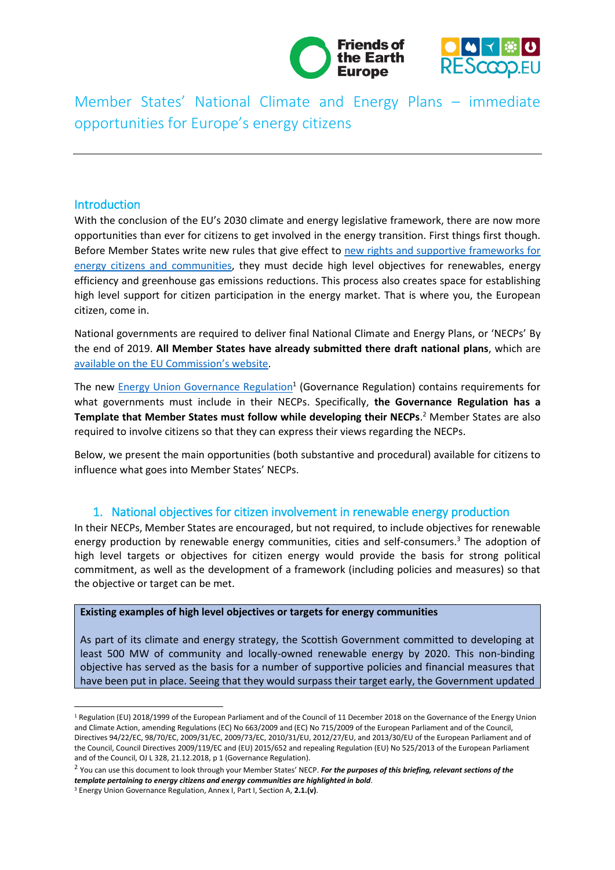



Member States' National Climate and Energy Plans – immediate opportunities for Europe's energy citizens

### Introduction

**.** 

With the conclusion of the EU's 2030 climate and energy legislative framework, there are now more opportunities than ever for citizens to get involved in the energy transition. First things first though. Before Member States write new rules that give effect to new rights and supportive frameworks for [energy citizens and communities,](https://uploads.strikinglycdn.com/files/533bfab6-f6c3-48ab-bbb3-ca3793a88f11/Community_Energy_booklet_FINAL.pdf) they must decide high level objectives for renewables, energy efficiency and greenhouse gas emissions reductions. This process also creates space for establishing high level support for citizen participation in the energy market. That is where you, the European citizen, come in.

National governments are required to deliver final National Climate and Energy Plans, or 'NECPs' By the end of 2019. **All Member States have already submitted there draft national plans**, which are [available on the EU Commission](https://ec.europa.eu/energy/en/topics/energy-strategy-and-energy-union/governance-energy-union/national-energy-climate-plans?pk_campaign=ENER%20Newsletter%20March%202019)'s website.

The new [Energy Union Governance Regulation](https://eur-lex.europa.eu/legal-content/EN/TXT/?uri=uriserv:OJ.L_.2018.328.01.0001.01.ENG&toc=OJ:L:2018:328:FULL)<sup>1</sup> (Governance Regulation) contains requirements for what governments must include in their NECPs. Specifically, **the Governance Regulation has a Template that Member States must follow while developing their NECPs**. <sup>2</sup> Member States are also required to involve citizens so that they can express their views regarding the NECPs.

Below, we present the main opportunities (both substantive and procedural) available for citizens to influence what goes into Member States' NECPs.

## 1. National objectives for citizen involvement in renewable energy production

In their NECPs, Member States are encouraged, but not required, to include objectives for renewable energy production by renewable energy communities, cities and self-consumers.<sup>3</sup> The adoption of high level targets or objectives for citizen energy would provide the basis for strong political commitment, as well as the development of a framework (including policies and measures) so that the objective or target can be met.

#### **Existing examples of high level objectives or targets for energy communities**

As part of its climate and energy strategy, the Scottish Government committed to developing at least 500 MW of community and locally-owned renewable energy by 2020. This non-binding objective has served as the basis for a number of supportive policies and financial measures that have been put in place. Seeing that they would surpass their target early, the Government updated

<sup>1</sup> Regulation (EU) 2018/1999 of the European Parliament and of the Council of 11 December 2018 on the Governance of the Energy Union and Climate Action, amending Regulations (EC) No 663/2009 and (EC) No 715/2009 of the European Parliament and of the Council, Directives 94/22/EC, 98/70/EC, 2009/31/EC, 2009/73/EC, 2010/31/EU, 2012/27/EU, and 2013/30/EU of the European Parliament and of the Council, Council Directives 2009/119/EC and (EU) 2015/652 and repealing Regulation (EU) No 525/2013 of the European Parliament and of the Council, OJ L 328, 21.12.2018, p 1 (Governance Regulation).

<sup>2</sup> You can use this document to look through your Member States' NECP. *For the purposes of this briefing, relevant sections of the template pertaining to energy citizens and energy communities are highlighted in bold*.

<sup>3</sup> Energy Union Governance Regulation, Annex I, Part I, Section A, **2.1.(v)**.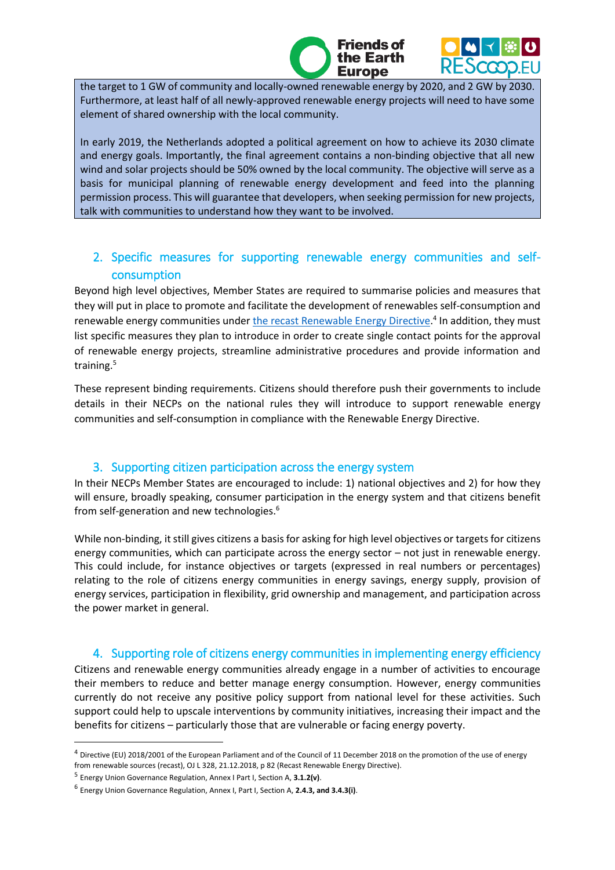L the target to 1 GW of community and locally-owned renewable energy by 2020, and 2 GW by 2030. Furthermore, at least half of all newly-approved renewable energy projects will need to have some element of shared ownership with the local community.

Friends of ie Earth **Europe** 

In early 2019, the Netherlands adopted a political agreement on how to achieve its 2030 climate and energy goals. Importantly, the final agreement contains a non-binding objective that all new wind and solar projects should be 50% owned by the local community. The objective will serve as a basis for municipal planning of renewable energy development and feed into the planning permission process. This will guarantee that developers, when seeking permission for new projects, talk with communities to understand how they want to be involved.

# 2. Specific measures for supporting renewable energy communities and selfconsumption

Beyond high level objectives, Member States are required to summarise policies and measures that they will put in place to promote and facilitate the development of renewables self-consumption and renewable energy communities under *the recast Renewable Energy Directive*.<sup>4</sup> In addition, they must list specific measures they plan to introduce in order to create single contact points for the approval of renewable energy projects, streamline administrative procedures and provide information and training.<sup>5</sup>

These represent binding requirements. Citizens should therefore push their governments to include details in their NECPs on the national rules they will introduce to support renewable energy communities and self-consumption in compliance with the Renewable Energy Directive.

## 3. Supporting citizen participation across the energy system

In their NECPs Member States are encouraged to include: 1) national objectives and 2) for how they will ensure, broadly speaking, consumer participation in the energy system and that citizens benefit from self-generation and new technologies.<sup>6</sup>

While non-binding, it still gives citizens a basis for asking for high level objectives or targets for citizens energy communities, which can participate across the energy sector – not just in renewable energy. This could include, for instance objectives or targets (expressed in real numbers or percentages) relating to the role of citizens energy communities in energy savings, energy supply, provision of energy services, participation in flexibility, grid ownership and management, and participation across the power market in general.

## 4. Supporting role of citizens energy communities in implementing energy efficiency

Citizens and renewable energy communities already engage in a number of activities to encourage their members to reduce and better manage energy consumption. However, energy communities currently do not receive any positive policy support from national level for these activities. Such support could help to upscale interventions by community initiatives, increasing their impact and the benefits for citizens – particularly those that are vulnerable or facing energy poverty.

**.** 

<sup>4</sup> Directive (EU) 2018/2001 of the European Parliament and of the Council of 11 December 2018 on the promotion of the use of energy from renewable sources (recast), OJ L 328, 21.12.2018, p 82 (Recast Renewable Energy Directive).

<sup>5</sup> Energy Union Governance Regulation, Annex I Part I, Section A, **3.1.2(v)**.

<sup>6</sup> Energy Union Governance Regulation, Annex I, Part I, Section A, **2.4.3, and 3.4.3(i)**.